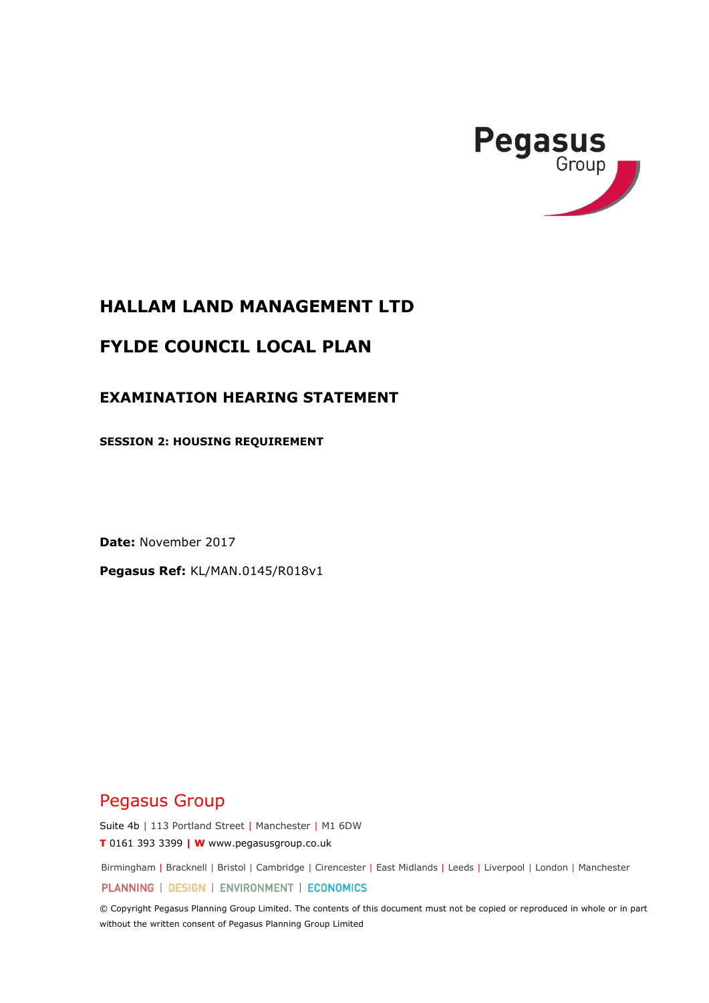

# **HALLAM LAND MANAGEMENT LTD**

# **FYLDE COUNCIL LOCAL PLAN**

#### **EXAMINATION HEARING STATEMENT**

**SESSION 2: HOUSING REQUIREMENT** 

**Date:** November 2017

**Pegasus Ref:** KL/MAN.0145/R018v1

# Pegasus Group

Suite 4b | 113 Portland Street | Manchester | M1 6DW **T** 0161 393 3399 **| W** www.pegasusgroup.co.uk

Birmingham | Bracknell | Bristol | Cambridge | Cirencester | East Midlands | Leeds | Liverpool | London | Manchester

PLANNING | DESIGN | ENVIRONMENT | ECONOMICS

© Copyright Pegasus Planning Group Limited. The contents of this document must not be copied or reproduced in whole or in part without the written consent of Pegasus Planning Group Limited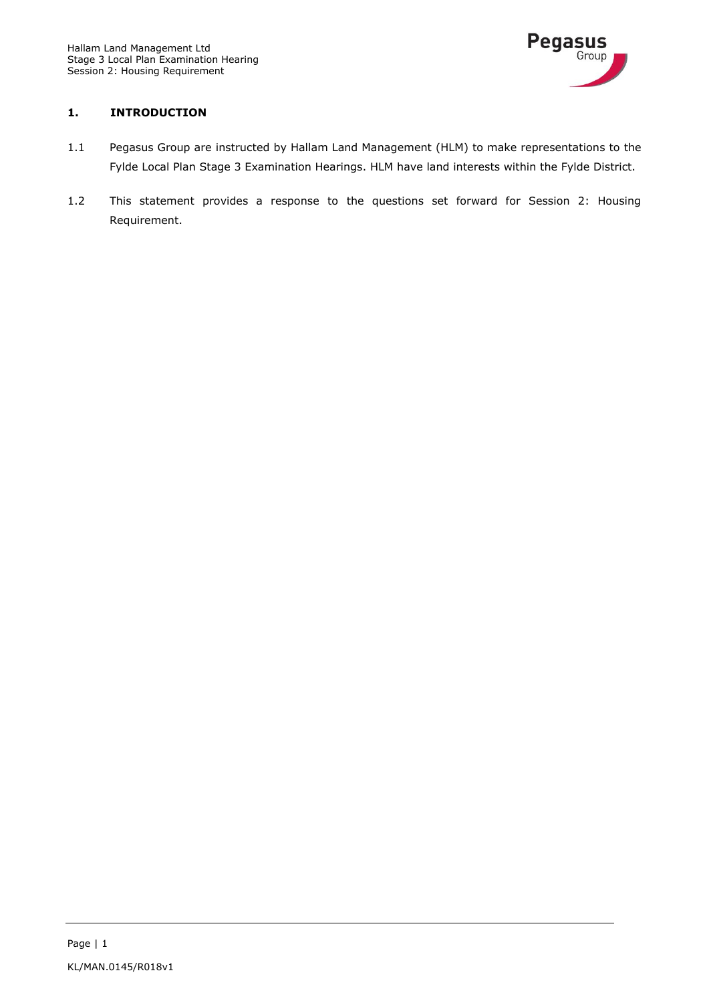

#### **1. INTRODUCTION**

- 1.1 Pegasus Group are instructed by Hallam Land Management (HLM) to make representations to the Fylde Local Plan Stage 3 Examination Hearings. HLM have land interests within the Fylde District.
- 1.2 This statement provides a response to the questions set forward for Session 2: Housing Requirement.